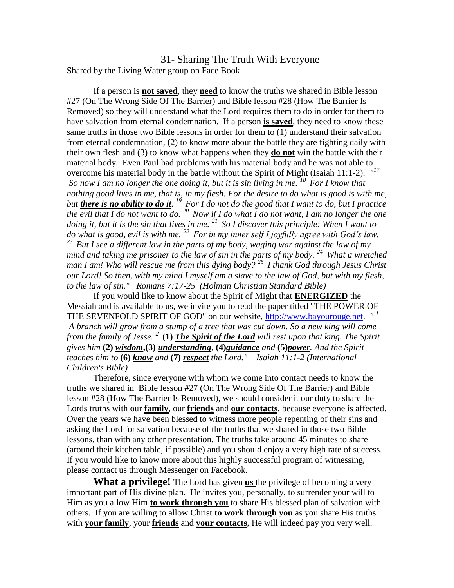## 31- Sharing The Truth With Everyone Shared by the Living Water group on Face Book

If a person is **not saved**, they **need** to know the truths we shared in Bible lesson **#**27 (On The Wrong Side Of The Barrier) and Bible lesson **#**28 (How The Barrier Is Removed) so they will understand what the Lord requires them to do in order for them to have salvation from eternal condemnation. If a person **is saved**, they need to know these same truths in those two Bible lessons in order for them to (1) understand their salvation from eternal condemnation, (2) to know more about the battle they are fighting daily with their own flesh and (3) to know what happens when they **do not** win the battle with their material body. Even Paul had problems with his material body and he was not able to overcome his material body in the battle without the Spirit of Might (Isaiah 11:1-2). *" 17 So now I am no longer the one doing it, but it is sin living in me.* <sup>18</sup> For I know that nothing good lives in me, that is, in my flesh. For the desire to do what is good is with me, *but there is no ability to do it. <sup>19</sup>For I do not do the good that I want to do, but I practice the evil that I do not want to do. <sup>20</sup>Now if I do what I do not want, I am no longer the one doing it, but it is the sin that lives in me. <sup>21</sup>So I discover this principle: When I want to do what is good, evil is with me. <sup>22</sup>For in my inner self I joyfully agree with God's law. <sup>23</sup>But I see a different law in the parts of my body, waging war against the law of my mind and taking me prisoner to the law of sin in the parts of my body. <sup>24</sup>What a wretched man I am! Who will rescue me from this dying body? <sup>25</sup>I thank God through Jesus Christ our Lord! So then, with my mind I myself am a slave to the law of God, but with my flesh, to the law of sin." Romans 7:17-25 (Holman Christian Standard Bible)*

If you would like to know about the Spirit of Might that **ENERGIZED** the Messiah and is available to us, we invite you to read the paper titled "THE POWER OF THE SEVENFOLD SPIRIT OF GOD" on our website, [http://www.bayourouge.net.](http://www.bayourouge.net/) *" <sup>1</sup> A branch will grow from a stump of a tree that was cut down. So a new king will come from the family of Jesse. <sup>2</sup>***(1)** *The Spirit of the Lord will rest upon that king. The Spirit gives him* **(2)** *wisdom***,(3)** *understanding,* **(4)***guidance and* **(5)***power. And the Spirit teaches him to* **(6)** *know and* **(7)** *respect the Lord." Isaiah 11:1-2 (International Children's Bible)*

Therefore, since everyone with whom we come into contact needs to know the truths we shared in Bible lesson **#**27 (On The Wrong Side Of The Barrier) and Bible lesson **#**28 (How The Barrier Is Removed), we should consider it our duty to share the Lords truths with our **family**, our **friends** and **our contacts**, because everyone is affected. Over the years we have been blessed to witness more people repenting of their sins and asking the Lord for salvation because of the truths that we shared in those two Bible lessons, than with any other presentation. The truths take around 45 minutes to share (around their kitchen table, if possible) and you should enjoy a very high rate of success. If you would like to know more about this highly successful program of witnessing, please contact us through Messenger on Facebook.

**What a privilege!** The Lord has given **us** the privilege of becoming a very important part of His divine plan. He invites you, personally, to surrender your will to Him as you allow Him **to work through you** to share His blessed plan of salvation with others. If you are willing to allow Christ **to work through you** as you share His truths with **your family**, your **friends** and **your contacts**, He will indeed pay you very well.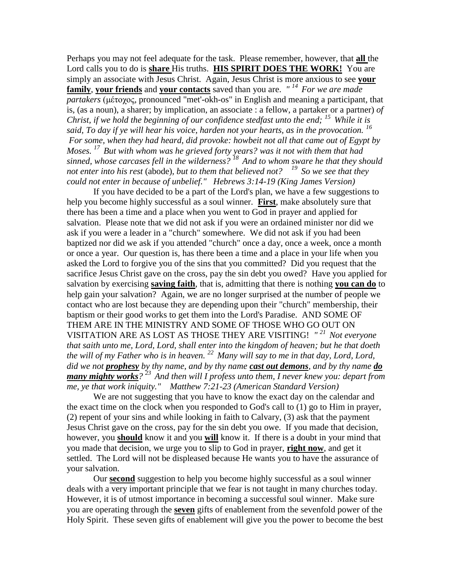Perhaps you may not feel adequate for the task. Please remember, however, that **all** the Lord calls you to do is **share** His truths. **HIS SPIRIT DOES THE WORK!** You are simply an associate with Jesus Christ. Again, Jesus Christ is more anxious to see **your family**, **your friends** and **your contacts** saved than you are. *" <sup>14</sup>For we are made partakers* (μέτοχος, pronounced "met'-okh-os" in English and meaning a participant*,* that is, (as a noun), a sharer; by implication, an associate : a fellow, a partaker or a partner) *of Christ, if we hold the beginning of our confidence stedfast unto the end; <sup>15</sup>While it is said, To day if ye will hear his voice, harden not your hearts, as in the provocation. <sup>16</sup> For some, when they had heard, did provoke: howbeit not all that came out of Egypt by Moses. <sup>17</sup>But with whom was he grieved forty years? was it not with them that had sinned, whose carcases fell in the wilderness? <sup>18</sup>And to whom sware he that they should not enter into his rest* (abode)*, but to them that believed not? <sup>19</sup>So we see that they could not enter in because of unbelief." Hebrews 3:14-19 (King James Version)* 

If you have decided to be a part of the Lord's plan, we have a few suggestions to help you become highly successful as a soul winner. **First**, make absolutely sure that there has been a time and a place when you went to God in prayer and applied for salvation. Please note that we did not ask if you were an ordained minister nor did we ask if you were a leader in a "church" somewhere. We did not ask if you had been baptized nor did we ask if you attended "church" once a day, once a week, once a month or once a year. Our question is, has there been a time and a place in your life when you asked the Lord to forgive you of the sins that you committed? Did you request that the sacrifice Jesus Christ gave on the cross, pay the sin debt you owed? Have you applied for salvation by exercising **saving faith**, that is, admitting that there is nothing **you can do** to help gain your salvation? Again, we are no longer surprised at the number of people we contact who are lost because they are depending upon their "church" membership, their baptism or their good works to get them into the Lord's Paradise. AND SOME OF THEM ARE IN THE MINISTRY AND SOME OF THOSE WHO GO OUT ON VISITATION ARE AS LOST AS THOSE THEY ARE VISITING! *" <sup>21</sup>Not everyone that saith unto me, Lord, Lord, shall enter into the kingdom of heaven; but he that doeth the will of my Father who is in heaven. <sup>22</sup>Many will say to me in that day, Lord, Lord, did we not prophesy by thy name, and by thy name cast out demons, and by thy name do many mighty works? <sup>23</sup>And then will I profess unto them, I never knew you: depart from me, ye that work iniquity." Matthew 7:21-23 (American Standard Version)*

We are not suggesting that you have to know the exact day on the calendar and the exact time on the clock when you responded to God's call to (1) go to Him in prayer, (2) repent of your sins and while looking in faith to Calvary, (3) ask that the payment Jesus Christ gave on the cross, pay for the sin debt you owe. If you made that decision, however, you **should** know it and you **will** know it. If there is a doubt in your mind that you made that decision, we urge you to slip to God in prayer, **right now**, and get it settled. The Lord will not be displeased because He wants you to have the assurance of your salvation.

Our **second** suggestion to help you become highly successful as a soul winner deals with a very important principle that we fear is not taught in many churches today. However, it is of utmost importance in becoming a successful soul winner. Make sure you are operating through the **seven** gifts of enablement from the sevenfold power of the Holy Spirit. These seven gifts of enablement will give you the power to become the best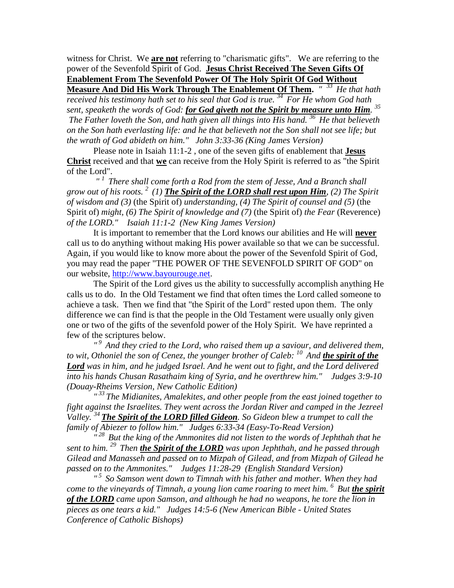witness for Christ. We **are not** referring to "charismatic gifts". We are referring to the power of the Sevenfold Spirit of God. **Jesus Christ Received The Seven Gifts Of Enablement From The Sevenfold Power Of The Holy Spirit Of God Without** 

**Measure And Did His Work Through The Enablement Of Them.** *" <sup>33</sup>He that hath received his testimony hath set to his seal that God is true. <sup>34</sup>For He whom God hath sent, speaketh the words of God: for God giveth not the Spirit by measure unto Him. 35 The Father loveth the Son, and hath given all things into His hand. <sup>36</sup>He that believeth on the Son hath everlasting life: and he that believeth not the Son shall not see life; but the wrath of God abideth on him." John 3:33-36 (King James Version)* 

Please note in Isaiah 11:1-2 , one of the seven gifts of enablement that **Jesus Christ** received and that **we** can receive from the Holy Spirit is referred to as "the Spirit of the Lord".

*" <sup>1</sup>There shall come forth a Rod from the stem of Jesse, And a Branch shall grow out of his roots. <sup>2</sup>(1) The Spirit of the LORD shall rest upon Him, (2) The Spirit of wisdom and (3)* (the Spirit of) *understanding, (4) The Spirit of counsel and (5)* (the Spirit of) *might, (6) The Spirit of knowledge and (7)* (the Spirit of) *the Fear* (Reverence) *of the LORD." Isaiah 11:1-2 (New King James Version)* 

It is important to remember that the Lord knows our abilities and He will **never** call us to do anything without making His power available so that we can be successful. Again, if you would like to know more about the power of the Sevenfold Spirit of God, you may read the paper "THE POWER OF THE SEVENFOLD SPIRIT OF GOD" on our website, [http://www.bayourouge.net.](http://www.bayourouge.net/)

The Spirit of the Lord gives us the ability to successfully accomplish anything He calls us to do. In the Old Testament we find that often times the Lord called someone to achieve a task. Then we find that "the Spirit of the Lord" rested upon them. The only difference we can find is that the people in the Old Testament were usually only given one or two of the gifts of the sevenfold power of the Holy Spirit. We have reprinted a few of the scriptures below.

*" <sup>9</sup>And they cried to the Lord, who raised them up a saviour, and delivered them, to wit, Othoniel the son of Cenez, the younger brother of Caleb: <sup>10</sup>And the spirit of the Lord was in him, and he judged Israel. And he went out to fight, and the Lord delivered into his hands Chusan Rasathaim king of Syria, and he overthrew him." Judges 3:9-10 (Douay-Rheims Version, New Catholic Edition)*

*" <sup>33</sup>The Midianites, Amalekites, and other people from the east joined together to fight against the Israelites. They went across the Jordan River and camped in the Jezreel Valley. <sup>34</sup>The Spirit of the LORD filled Gideon. So Gideon blew a trumpet to call the family of Abiezer to follow him." Judges 6:33-34 (Easy-To-Read Version)*

*" <sup>28</sup>But the king of the Ammonites did not listen to the words of Jephthah that he sent to him. <sup>29</sup>Then the Spirit of the LORD was upon Jephthah, and he passed through Gilead and Manasseh and passed on to Mizpah of Gilead, and from Mizpah of Gilead he passed on to the Ammonites." Judges 11:28-29 (English Standard Version)*

*" <sup>5</sup>So Samson went down to Timnah with his father and mother. When they had come to the vineyards of Timnah, a young lion came roaring to meet him. <sup>6</sup>But the spirit of the LORD came upon Samson, and although he had no weapons, he tore the lion in pieces as one tears a kid." Judges 14:5-6 (New American Bible - United States Conference of Catholic Bishops)*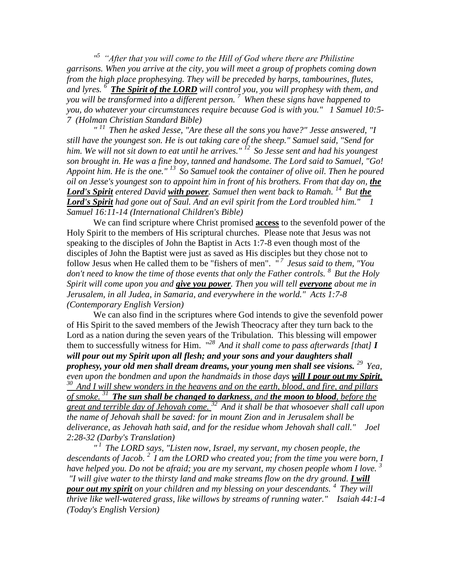*" <sup>5</sup>"After that you will come to the Hill of God where there are Philistine garrisons. When you arrive at the city, you will meet a group of prophets coming down from the high place prophesying. They will be preceded by harps, tambourines, flutes, and lyres. <sup>6</sup>The Spirit of the LORD will control you, you will prophesy with them, and you will be transformed into a different person. <sup>7</sup>When these signs have happened to you, do whatever your circumstances require because God is with you." 1 Samuel 10:5- 7 (Holman Christian Standard Bible)*

*" <sup>11</sup>Then he asked Jesse, "Are these all the sons you have?" Jesse answered, "I still have the youngest son. He is out taking care of the sheep." Samuel said, "Send for him. We will not sit down to eat until he arrives." <sup>12</sup>So Jesse sent and had his youngest son brought in. He was a fine boy, tanned and handsome. The Lord said to Samuel, "Go! Appoint him. He is the one." <sup>13</sup>So Samuel took the container of olive oil. Then he poured oil on Jesse's youngest son to appoint him in front of his brothers. From that day on, the Lord's Spirit entered David with power. Samuel then went back to Ramah. <sup>14</sup>But the Lord's Spirit had gone out of Saul. And an evil spirit from the Lord troubled him." 1 Samuel 16:11-14 (International Children's Bible)*

We can find scripture where Christ promised **access** to the sevenfold power of the Holy Spirit to the members of His scriptural churches. Please note that Jesus was not speaking to the disciples of John the Baptist in Acts 1:7-8 even though most of the disciples of John the Baptist were just as saved as His disciples but they chose not to follow Jesus when He called them to be "fishers of men". " *<sup>7</sup>Jesus said to them, "You don't need to know the time of those events that only the Father controls. <sup>8</sup>But the Holy Spirit will come upon you and give you power. Then you will tell everyone about me in Jerusalem, in all Judea, in Samaria, and everywhere in the world." Acts 1:7-8 (Contemporary English Version)*

We can also find in the scriptures where God intends to give the sevenfold power of His Spirit to the saved members of the Jewish Theocracy after they turn back to the Lord as a nation during the seven years of the Tribulation. This blessing will empower them to successfully witness for Him. " *<sup>28</sup>And it shall come to pass afterwards [that] I will pour out my Spirit upon all flesh; and your sons and your daughters shall prophesy, your old men shall dream dreams, your young men shall see visions. <sup>29</sup>Yea, even upon the bondmen and upon the handmaids in those days will I pour out my Spirit. <sup>30</sup>And I will shew wonders in the heavens and on the earth, blood, and fire, and pillars of smoke. <sup>31</sup>The sun shall be changed to darkness, and the moon to blood, before the great and terrible day of Jehovah come. <sup>32</sup>And it shall be that whosoever shall call upon the name of Jehovah shall be saved: for in mount Zion and in Jerusalem shall be deliverance, as Jehovah hath said, and for the residue whom Jehovah shall call." Joel 2:28-32 (Darby's Translation)*

*" <sup>1</sup>The LORD says, "Listen now, Israel, my servant, my chosen people, the descendants of Jacob. <sup>2</sup>I am the LORD who created you; from the time you were born, I have helped you. Do not be afraid; you are my servant, my chosen people whom I love. <sup>3</sup> "I will give water to the thirsty land and make streams flow on the dry ground. I will pour out my spirit on your children and my blessing on your descendants. <sup>4</sup>They will thrive like well-watered grass, like willows by streams of running water." Isaiah 44:1-4 (Today's English Version)*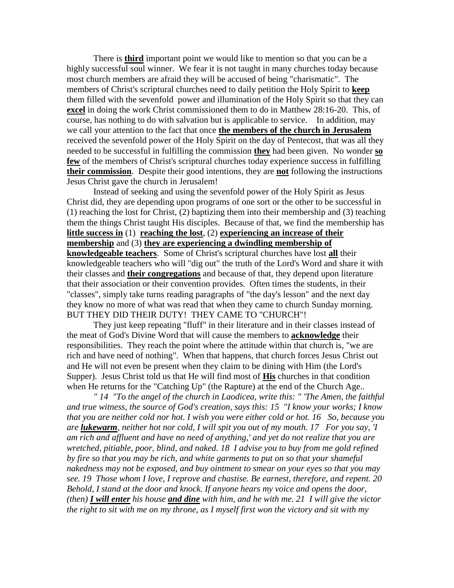There is **third** important point we would like to mention so that you can be a highly successful soul winner. We fear it is not taught in many churches today because most church members are afraid they will be accused of being "charismatic". The members of Christ's scriptural churches need to daily petition the Holy Spirit to **keep** them filled with the sevenfold power and illumination of the Holy Spirit so that they can **excel** in doing the work Christ commissioned them to do in Matthew 28:16-20. This, of course, has nothing to do with salvation but is applicable to service. In addition, may we call your attention to the fact that once **the members of the church in Jerusalem** received the sevenfold power of the Holy Spirit on the day of Pentecost, that was all they needed to be successful in fulfilling the commission **they** had been given. No wonder **so few** of the members of Christ's scriptural churches today experience success in fulfilling **their commission**. Despite their good intentions, they are **not** following the instructions Jesus Christ gave the church in Jerusalem!

Instead of seeking and using the sevenfold power of the Holy Spirit as Jesus Christ did, they are depending upon programs of one sort or the other to be successful in (1) reaching the lost for Christ, (2) baptizing them into their membership and (3) teaching them the things Christ taught His disciples. Because of that, we find the membership has **little success in** (1) **reaching the lost**, (2) **experiencing an increase of their membership** and (3) **they are experiencing a dwindling membership of knowledgeable teachers**. Some of Christ's scriptural churches have lost **all** their knowledgeable teachers who will "dig out" the truth of the Lord's Word and share it with their classes and **their congregations** and because of that, they depend upon literature that their association or their convention provides. Often times the students, in their "classes", simply take turns reading paragraphs of "the day's lesson" and the next day they know no more of what was read that when they came to church Sunday morning. BUT THEY DID THEIR DUTY! THEY CAME TO "CHURCH"!

They just keep repeating "fluff" in their literature and in their classes instead of the meat of God's Divine Word that will cause the members to **acknowledge** their responsibilities. They reach the point where the attitude within that church is, "we are rich and have need of nothing". When that happens, that church forces Jesus Christ out and He will not even be present when they claim to be dining with Him (the Lord's Supper). Jesus Christ told us that He will find most of **His** churches in that condition when He returns for the "Catching Up" (the Rapture) at the end of the Church Age..

*" 14 "To the angel of the church in Laodicea, write this: " 'The Amen, the faithful and true witness, the source of God's creation, says this: 15 "I know your works; I know that you are neither cold nor hot. I wish you were either cold or hot. 16 So, because you are lukewarm, neither hot nor cold, I will spit you out of my mouth. 17 For you say, 'I am rich and affluent and have no need of anything,' and yet do not realize that you are wretched, pitiable, poor, blind, and naked. 18 I advise you to buy from me gold refined by fire so that you may be rich, and white garments to put on so that your shameful nakedness may not be exposed, and buy ointment to smear on your eyes so that you may see. 19 Those whom I love, I reprove and chastise. Be earnest, therefore, and repent. 20 Behold, I stand at the door and knock. If anyone hears my voice and opens the door, (then) I will enter his house and dine with him, and he with me. 21 I will give the victor the right to sit with me on my throne, as I myself first won the victory and sit with my*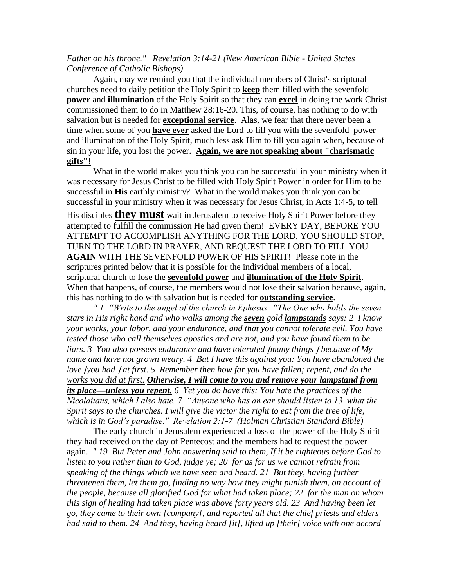## *Father on his throne." Revelation 3:14-21 (New American Bible - United States Conference of Catholic Bishops)*

Again, may we remind you that the individual members of Christ's scriptural churches need to daily petition the Holy Spirit to **keep** them filled with the sevenfold **power** and **illumination** of the Holy Spirit so that they can **excel** in doing the work Christ commissioned them to do in Matthew 28:16-20. This, of course, has nothing to do with salvation but is needed for **exceptional service**. Alas, we fear that there never been a time when some of you **have ever** asked the Lord to fill you with the sevenfold power and illumination of the Holy Spirit, much less ask Him to fill you again when, because of sin in your life, you lost the power. **Again, we are not speaking about "charismatic gifts"!**

What in the world makes you think you can be successful in your ministry when it was necessary for Jesus Christ to be filled with Holy Spirit Power in order for Him to be successful in **His** earthly ministry? What in the world makes you think you can be successful in your ministry when it was necessary for Jesus Christ, in Acts 1:4-5, to tell

His disciples **they must** wait in Jerusalem to receive Holy Spirit Power before they attempted to fulfill the commission He had given them! EVERY DAY, BEFORE YOU ATTEMPT TO ACCOMPLISH ANYTHING FOR THE LORD, YOU SHOULD STOP, TURN TO THE LORD IN PRAYER, AND REQUEST THE LORD TO FILL YOU **AGAIN** WITH THE SEVENFOLD POWER OF HIS SPIRIT! Please note in the scriptures printed below that it is possible for the individual members of a local, scriptural church to lose the **sevenfold power** and **illumination of the Holy Spirit**. When that happens, of course, the members would not lose their salvation because, again, this has nothing to do with salvation but is needed for **outstanding service**.

*" 1 "Write to the angel of the church in Ephesus: "The One who holds the seven stars in His right hand and who walks among the seven gold lampstands says: 2 I know your works, your labor, and your endurance, and that you cannot tolerate evil. You have tested those who call themselves apostles and are not, and you have found them to be liars.* 3 You also possess endurance and have tolerated *lmany things l* because of My *name and have not grown weary. 4 But I have this against you: You have abandoned the love* /*you had*  / *at first.* 5 Remember then how far you have fallen; repent, and do the *works you did at first. Otherwise, I will come to you and remove your lampstand from its place—unless you repent. 6 Yet you do have this: You hate the practices of the Nicolaitans, which I also hate. 7 "Anyone who has an ear should listen to 13 what the Spirit says to the churches. I will give the victor the right to eat from the tree of life, which is in God's paradise." Revelation 2:1-7 (Holman Christian Standard Bible)* 

The early church in Jerusalem experienced a loss of the power of the Holy Spirit they had received on the day of Pentecost and the members had to request the power again. *" 19 But Peter and John answering said to them, If it be righteous before God to listen to you rather than to God, judge ye; 20 for as for us we cannot refrain from speaking of the things which we have seen and heard. 21 But they, having further threatened them, let them go, finding no way how they might punish them, on account of the people, because all glorified God for what had taken place; 22 for the man on whom this sign of healing had taken place was above forty years old. 23 And having been let go, they came to their own [company], and reported all that the chief priests and elders had said to them. 24 And they, having heard [it], lifted up [their] voice with one accord*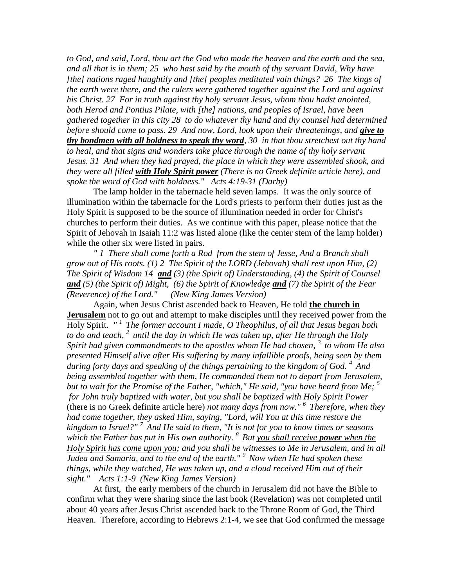*to God, and said, Lord, thou art the God who made the heaven and the earth and the sea, and all that is in them; 25 who hast said by the mouth of thy servant David, Why have [the] nations raged haughtily and [the] peoples meditated vain things? 26 The kings of the earth were there, and the rulers were gathered together against the Lord and against his Christ. 27 For in truth against thy holy servant Jesus, whom thou hadst anointed, both Herod and Pontius Pilate, with [the] nations, and peoples of Israel, have been gathered together in this city 28 to do whatever thy hand and thy counsel had determined before should come to pass.* 29 And now, Lord, look upon their threatenings, and give to *thy bondmen with all boldness to speak thy word, 30 in that thou stretchest out thy hand*  to heal, and that signs and wonders take place through the name of thy holy servant *Jesus. 31 And when they had prayed, the place in which they were assembled shook, and they were all filled with Holy Spirit power (There is no Greek definite article here), and spoke the word of God with boldness." Acts 4:19-31 (Darby)* 

The lamp holder in the tabernacle held seven lamps. It was the only source of illumination within the tabernacle for the Lord's priests to perform their duties just as the Holy Spirit is supposed to be the source of illumination needed in order for Christ's churches to perform their duties. As we continue with this paper, please notice that the Spirit of Jehovah in Isaiah 11:2 was listed alone (like the center stem of the lamp holder) while the other six were listed in pairs.

*" 1 There shall come forth a Rod from the stem of Jesse, And a Branch shall grow out of His roots. (1) 2 The Spirit of the LORD (Jehovah) shall rest upon Him, (2) The Spirit of Wisdom 14 and (3) (the Spirit of) Understanding, (4) the Spirit of Counsel and (5) (the Spirit of) Might, (6) the Spirit of Knowledge and (7) the Spirit of the Fear (Reverence) of the Lord." (New King James Version)*

Again, when Jesus Christ ascended back to Heaven, He told **the church in Jerusalem** not to go out and attempt to make disciples until they received power from the Holy Spirit. *" <sup>1</sup>The former account I made, O Theophilus, of all that Jesus began both to do and teach, <sup>2</sup>until the day in which He was taken up, after He through the Holy Spirit had given commandments to the apostles whom He had chosen, <sup>3</sup>to whom He also presented Himself alive after His suffering by many infallible proofs, being seen by them during forty days and speaking of the things pertaining to the kingdom of God. <sup>4</sup>And being assembled together with them, He commanded them not to depart from Jerusalem, but to wait for the Promise of the Father, "which," He said, "you have heard from Me; <sup>5</sup> for John truly baptized with water, but you shall be baptized with Holy Spirit Power*  (there is no Greek definite article here) *not many days from now." <sup>6</sup>Therefore, when they had come together, they asked Him, saying, "Lord, will You at this time restore the kingdom to Israel?" <sup>7</sup>And He said to them, "It is not for you to know times or seasons which the Father has put in His own authority. <sup>8</sup>But you shall receive power when the Holy Spirit has come upon you; and you shall be witnesses to Me in Jerusalem, and in all Judea and Samaria, and to the end of the earth." <sup>9</sup>Now when He had spoken these things, while they watched, He was taken up, and a cloud received Him out of their sight." Acts 1:1-9 (New King James Version)*

At first, the early members of the church in Jerusalem did not have the Bible to confirm what they were sharing since the last book (Revelation) was not completed until about 40 years after Jesus Christ ascended back to the Throne Room of God, the Third Heaven. Therefore, according to Hebrews 2:1-4, we see that God confirmed the message